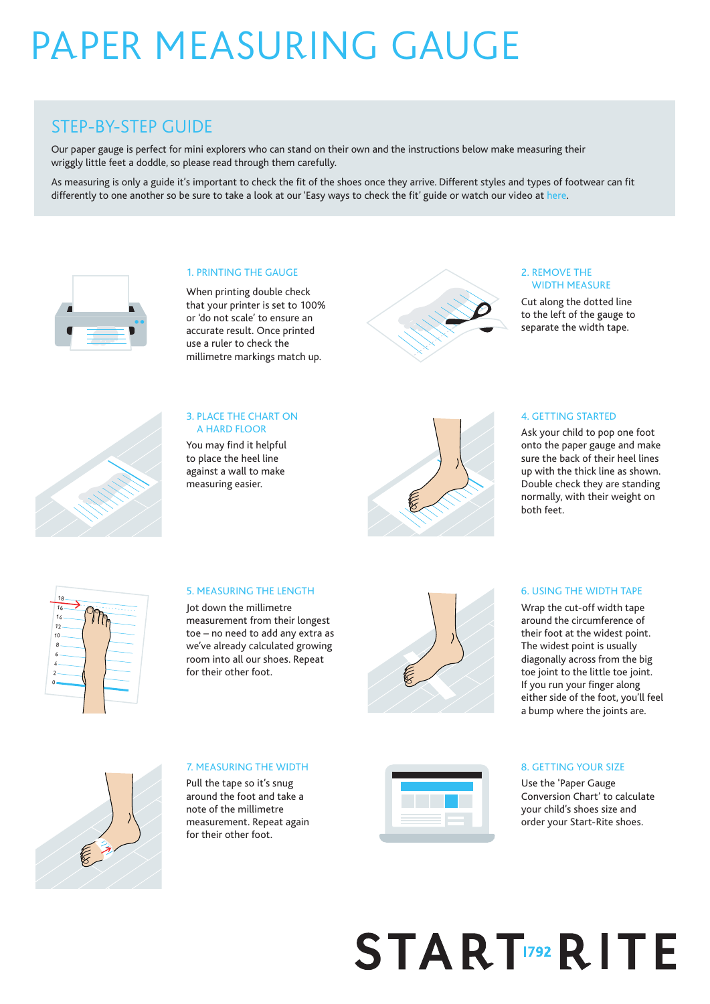## pAper measuRing gauge

### STEP-BY-STEP GUIDE

Our paper gauge is perfect for mini explorers who can stand on their own and the instructions below make measuring their wriggly little feet a doddle, so please read through them carefully.

As measuring is only a guide it's important to check the fit of the shoes once they arrive. Different styles and types of footwear can fit differently to one another so be sure to take a look at our 'Easy ways to check the fit' guide or watch our video at here.



#### 1. PRINTING THE GAUGE

When printing double check that your printer is set to 100% or 'do not scale' to ensure an accurate result. Once printed use a ruler to check the millimetre markings match up.



#### 2. REMOVE THE WIDTH MEASURE

Cut along the dotted line to the left of the gauge to separate the width tape.



#### 3. PLACE THE CHART ON A HARD FLOOR

You may find it helpful to place the heel line against a wall to make measuring easier.



#### 4. GETTING STARTED

Ask your child to pop one foot onto the paper gauge and make sure the back of their heel lines up with the thick line as shown. Double check they are standing normally, with their weight on both feet.

| 18                  |   |
|---------------------|---|
| $16 -$              |   |
| 14                  | ኈ |
| $12 -$              |   |
| 10                  |   |
| 8                   |   |
| 6                   |   |
| $\overline{4}$      |   |
|                     |   |
|                     |   |
|                     |   |
|                     |   |
|                     |   |
| $\overline{a}$<br>0 |   |

#### 5. MEASURING THE LENGTH

Jot down the millimetre measurement from their longest toe – no need to add any extra as we've already calculated growing room into all our shoes. Repeat for their other foot.



#### 6. USING THE WIDTH TAPE

Wrap the cut-off width tape around the circumference of their foot at the widest point. The widest point is usually diagonally across from the big toe joint to the little toe joint. If you run your finger along either side of the foot, you'll feel a bump where the joints are.



#### 7. MEASURING THE WIDTH

Pull the tape so it's snug around the foot and take a note of the millimetre measurement. Repeat again for their other foot.



#### 8. GETTING YOUR SIZE

Use the 'Paper Gauge Conversion Chart' to calculate your child's shoes size and order your Start-Rite shoes.

# **STARTIZERITE**